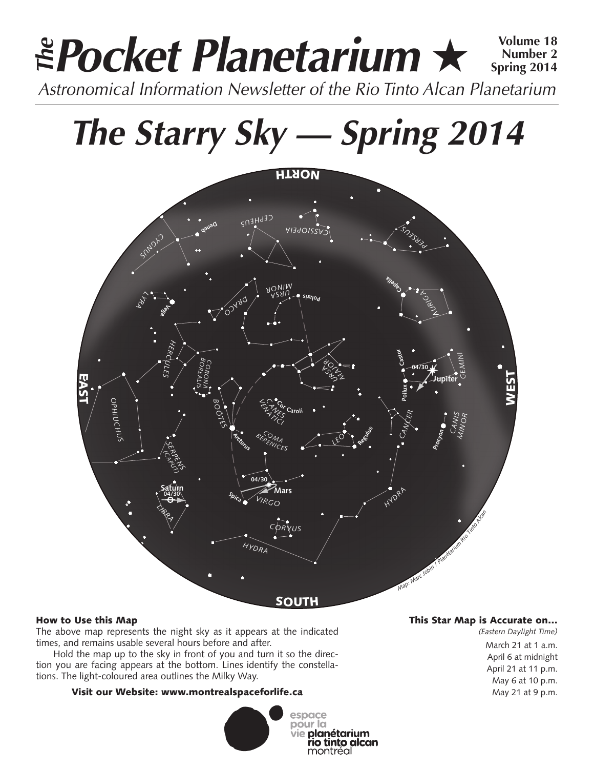# **Pocket Planetarium** ★ **Volume 18** Astronomical Information Newsletter of the Rio Tinto Alcan Planetarium **The Number 2 Spring 2014**

# **The Starry Sky — Spring 2014**



# How to Use this Map

The above map represents the night sky as it appears at the indicated times, and remains usable several hours before and after.

Hold the map up to the sky in front of you and turn it so the direction you are facing appears at the bottom. Lines identify the constellations. The light-coloured area outlines the Milky Way.

# Visit our Website: www.montrealspaceforlife.ca



# This Star Map is Accurate on…

*(Eastern Daylight Time)* March 21 at 1 a.m. April 6 at midnight April 21 at 11 p.m. May 6 at 10 p.m. May 21 at 9 p.m.